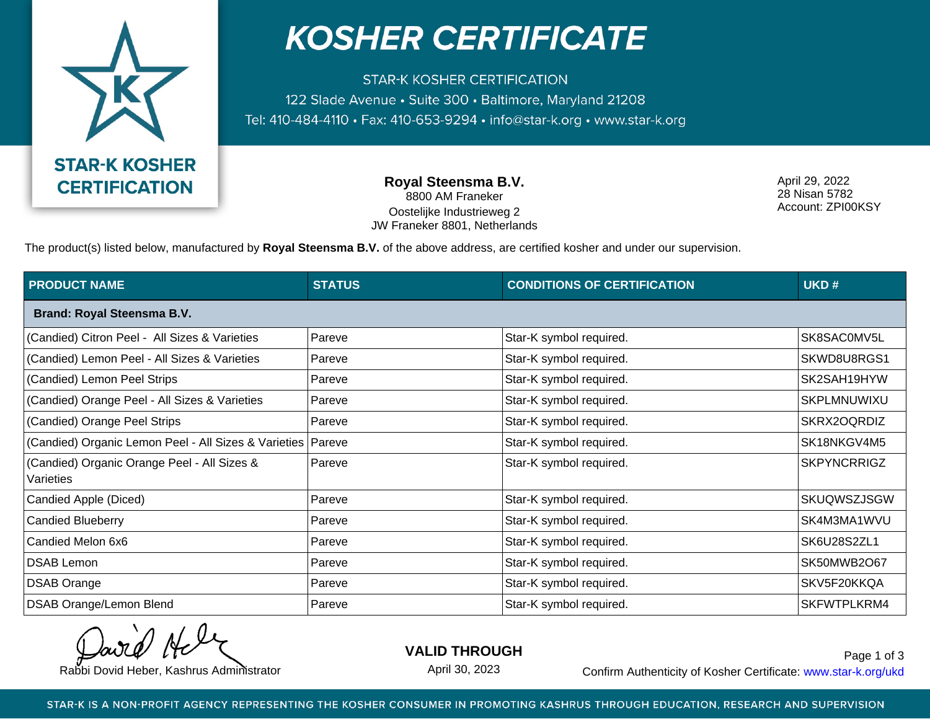

## **KOSHER CERTIFICATE**

**STAR-K KOSHER CERTIFICATION** 122 Slade Avenue • Suite 300 • Baltimore, Maryland 21208 Tel: 410-484-4110 · Fax: 410-653-9294 · info@star-k.org · www.star-k.org

> **Royal Steensma B.V.** 8800 AM Franeker Oostelijke Industrieweg 2 JW Franeker 8801, Netherlands

April 29, 2022 28 Nisan 5782 Account: ZPI00KSY

The product(s) listed below, manufactured by **Royal Steensma B.V.** of the above address, are certified kosher and under our supervision.

| <b>PRODUCT NAME</b>                                           | <b>STATUS</b> | <b>CONDITIONS OF CERTIFICATION</b> | UKD#               |  |  |  |
|---------------------------------------------------------------|---------------|------------------------------------|--------------------|--|--|--|
| <b>Brand: Royal Steensma B.V.</b>                             |               |                                    |                    |  |  |  |
| (Candied) Citron Peel - All Sizes & Varieties                 | Pareve        | Star-K symbol required.            | SK8SAC0MV5L        |  |  |  |
| (Candied) Lemon Peel - All Sizes & Varieties                  | Pareve        | Star-K symbol required.            | SKWD8U8RGS1        |  |  |  |
| (Candied) Lemon Peel Strips                                   | Pareve        | Star-K symbol required.            | SK2SAH19HYW        |  |  |  |
| (Candied) Orange Peel - All Sizes & Varieties                 | Pareve        | Star-K symbol required.            | SKPLMNUWIXU        |  |  |  |
| (Candied) Orange Peel Strips                                  | Pareve        | Star-K symbol required.            | SKRX2OQRDIZ        |  |  |  |
| (Candied) Organic Lemon Peel - All Sizes & Varieties   Pareve |               | Star-K symbol required.            | SK18NKGV4M5        |  |  |  |
| (Candied) Organic Orange Peel - All Sizes &<br>Varieties      | Pareve        | Star-K symbol required.            | <b>SKPYNCRRIGZ</b> |  |  |  |
| Candied Apple (Diced)                                         | Pareve        | Star-K symbol required.            | <b>SKUQWSZJSGW</b> |  |  |  |
| <b>Candied Blueberry</b>                                      | Pareve        | Star-K symbol required.            | SK4M3MA1WVU        |  |  |  |
| Candied Melon 6x6                                             | Pareve        | Star-K symbol required.            | SK6U28S2ZL1        |  |  |  |
| <b>DSAB Lemon</b>                                             | Pareve        | Star-K symbol required.            | SK50MWB2O67        |  |  |  |
| <b>DSAB Orange</b>                                            | Pareve        | Star-K symbol required.            | SKV5F20KKQA        |  |  |  |
| DSAB Orange/Lemon Blend                                       | Pareve        | Star-K symbol required.            | SKFWTPLKRM4        |  |  |  |

**VALID THROUGH**

April 30, 2023

Rabbi Dovid Heber, Kashrus Administrator **Confirm Authenticity of Kosher Certificate:** www.star-k.org/ukd Page 1 of 3

STAR-K IS A NON-PROFIT AGENCY REPRESENTING THE KOSHER CONSUMER IN PROMOTING KASHRUS THROUGH EDUCATION, RESEARCH AND SUPERVISION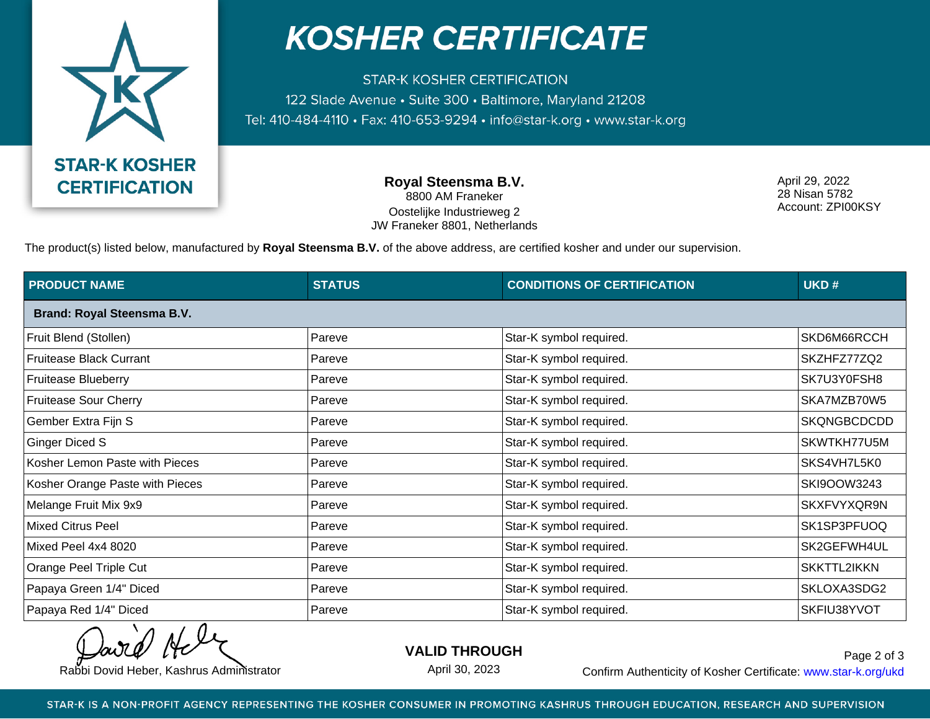

## **KOSHER CERTIFICATE**

**STAR-K KOSHER CERTIFICATION** 122 Slade Avenue • Suite 300 • Baltimore, Maryland 21208 Tel: 410-484-4110 · Fax: 410-653-9294 · info@star-k.org · www.star-k.org

> **Royal Steensma B.V.** 8800 AM Franeker Oostelijke Industrieweg 2 JW Franeker 8801, Netherlands

April 29, 2022 28 Nisan 5782 Account: ZPI00KSY

The product(s) listed below, manufactured by **Royal Steensma B.V.** of the above address, are certified kosher and under our supervision.

| <b>PRODUCT NAME</b>               | <b>STATUS</b> | <b>CONDITIONS OF CERTIFICATION</b> | UKD#        |  |  |
|-----------------------------------|---------------|------------------------------------|-------------|--|--|
| <b>Brand: Royal Steensma B.V.</b> |               |                                    |             |  |  |
| Fruit Blend (Stollen)             | Pareve        | Star-K symbol required.            | SKD6M66RCCH |  |  |
| <b>Fruitease Black Currant</b>    | Pareve        | Star-K symbol required.            | SKZHFZ77ZQ2 |  |  |
| <b>Fruitease Blueberry</b>        | Pareve        | Star-K symbol required.            | SK7U3Y0FSH8 |  |  |
| Fruitease Sour Cherry             | Pareve        | Star-K symbol required.            | SKA7MZB70W5 |  |  |
| Gember Extra Fijn S               | Pareve        | Star-K symbol required.            | SKQNGBCDCDD |  |  |
| <b>Ginger Diced S</b>             | Pareve        | Star-K symbol required.            | SKWTKH77U5M |  |  |
| Kosher Lemon Paste with Pieces    | Pareve        | Star-K symbol required.            | SKS4VH7L5K0 |  |  |
| Kosher Orange Paste with Pieces   | Pareve        | Star-K symbol required.            | SKI9OOW3243 |  |  |
| Melange Fruit Mix 9x9             | Pareve        | Star-K symbol required.            | SKXFVYXQR9N |  |  |
| <b>Mixed Citrus Peel</b>          | Pareve        | Star-K symbol required.            | SK1SP3PFUOQ |  |  |
| Mixed Peel 4x4 8020               | Pareve        | Star-K symbol required.            | SK2GEFWH4UL |  |  |
| Orange Peel Triple Cut            | Pareve        | Star-K symbol required.            | SKKTTL2IKKN |  |  |
| Papaya Green 1/4" Diced           | Pareve        | Star-K symbol required.            | SKLOXA3SDG2 |  |  |
| Papaya Red 1/4" Diced             | Pareve        | Star-K symbol required.            | SKFIU38YVOT |  |  |

**VALID THROUGH**

April 30, 2023

Rabbi Dovid Heber, Kashrus Administrator **Confirm Authenticity of Kosher Certificate:** www.star-k.org/ukd Page 2 of 3

STAR-K IS A NON-PROFIT AGENCY REPRESENTING THE KOSHER CONSUMER IN PROMOTING KASHRUS THROUGH EDUCATION, RESEARCH AND SUPERVISION